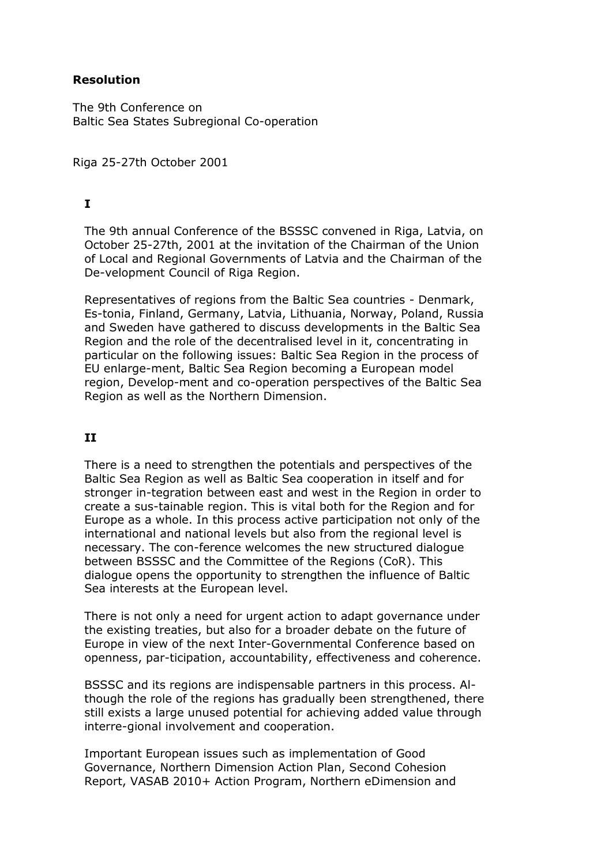#### **Resolution**

The 9th Conference on Baltic Sea States Subregional Co-operation

Riga 25-27th October 2001

# **I**

The 9th annual Conference of the BSSSC convened in Riga, Latvia, on October 25-27th, 2001 at the invitation of the Chairman of the Union of Local and Regional Governments of Latvia and the Chairman of the De-velopment Council of Riga Region.

Representatives of regions from the Baltic Sea countries - Denmark, Es-tonia, Finland, Germany, Latvia, Lithuania, Norway, Poland, Russia and Sweden have gathered to discuss developments in the Baltic Sea Region and the role of the decentralised level in it, concentrating in particular on the following issues: Baltic Sea Region in the process of EU enlarge-ment, Baltic Sea Region becoming a European model region, Develop-ment and co-operation perspectives of the Baltic Sea Region as well as the Northern Dimension.

# **II**

There is a need to strengthen the potentials and perspectives of the Baltic Sea Region as well as Baltic Sea cooperation in itself and for stronger in-tegration between east and west in the Region in order to create a sus-tainable region. This is vital both for the Region and for Europe as a whole. In this process active participation not only of the international and national levels but also from the regional level is necessary. The con-ference welcomes the new structured dialogue between BSSSC and the Committee of the Regions (CoR). This dialogue opens the opportunity to strengthen the influence of Baltic Sea interests at the European level.

There is not only a need for urgent action to adapt governance under the existing treaties, but also for a broader debate on the future of Europe in view of the next Inter-Governmental Conference based on openness, par-ticipation, accountability, effectiveness and coherence.

BSSSC and its regions are indispensable partners in this process. Although the role of the regions has gradually been strengthened, there still exists a large unused potential for achieving added value through interre-gional involvement and cooperation.

Important European issues such as implementation of Good Governance, Northern Dimension Action Plan, Second Cohesion Report, VASAB 2010+ Action Program, Northern eDimension and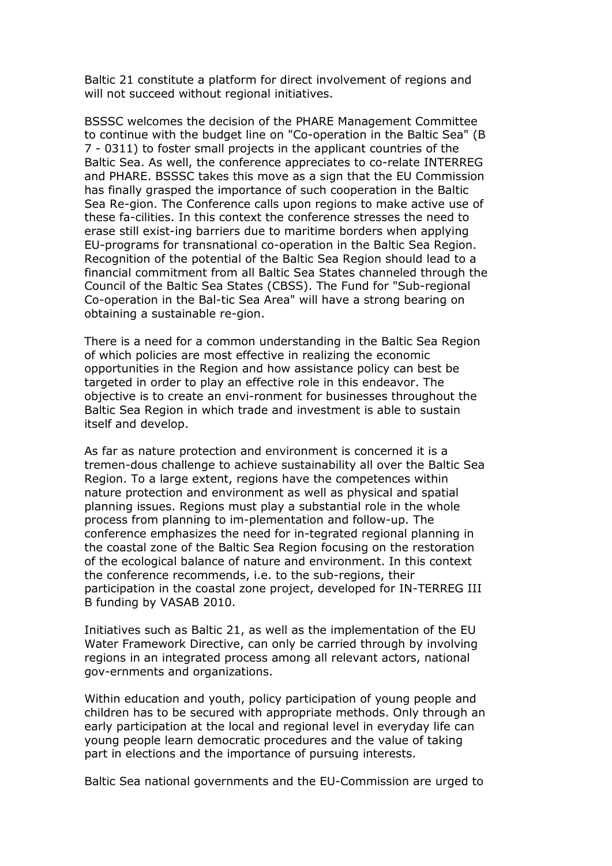Baltic 21 constitute a platform for direct involvement of regions and will not succeed without regional initiatives.

BSSSC welcomes the decision of the PHARE Management Committee to continue with the budget line on "Co-operation in the Baltic Sea" (B 7 - 0311) to foster small projects in the applicant countries of the Baltic Sea. As well, the conference appreciates to co-relate INTERREG and PHARE. BSSSC takes this move as a sign that the EU Commission has finally grasped the importance of such cooperation in the Baltic Sea Re-gion. The Conference calls upon regions to make active use of these fa-cilities. In this context the conference stresses the need to erase still exist-ing barriers due to maritime borders when applying EU-programs for transnational co-operation in the Baltic Sea Region. Recognition of the potential of the Baltic Sea Region should lead to a financial commitment from all Baltic Sea States channeled through the Council of the Baltic Sea States (CBSS). The Fund for "Sub-regional Co-operation in the Bal-tic Sea Area" will have a strong bearing on obtaining a sustainable re-gion.

There is a need for a common understanding in the Baltic Sea Region of which policies are most effective in realizing the economic opportunities in the Region and how assistance policy can best be targeted in order to play an effective role in this endeavor. The objective is to create an envi-ronment for businesses throughout the Baltic Sea Region in which trade and investment is able to sustain itself and develop.

As far as nature protection and environment is concerned it is a tremen-dous challenge to achieve sustainability all over the Baltic Sea Region. To a large extent, regions have the competences within nature protection and environment as well as physical and spatial planning issues. Regions must play a substantial role in the whole process from planning to im-plementation and follow-up. The conference emphasizes the need for in-tegrated regional planning in the coastal zone of the Baltic Sea Region focusing on the restoration of the ecological balance of nature and environment. In this context the conference recommends, i.e. to the sub-regions, their participation in the coastal zone project, developed for IN-TERREG III B funding by VASAB 2010.

Initiatives such as Baltic 21, as well as the implementation of the EU Water Framework Directive, can only be carried through by involving regions in an integrated process among all relevant actors, national gov-ernments and organizations.

Within education and youth, policy participation of young people and children has to be secured with appropriate methods. Only through an early participation at the local and regional level in everyday life can young people learn democratic procedures and the value of taking part in elections and the importance of pursuing interests.

Baltic Sea national governments and the EU-Commission are urged to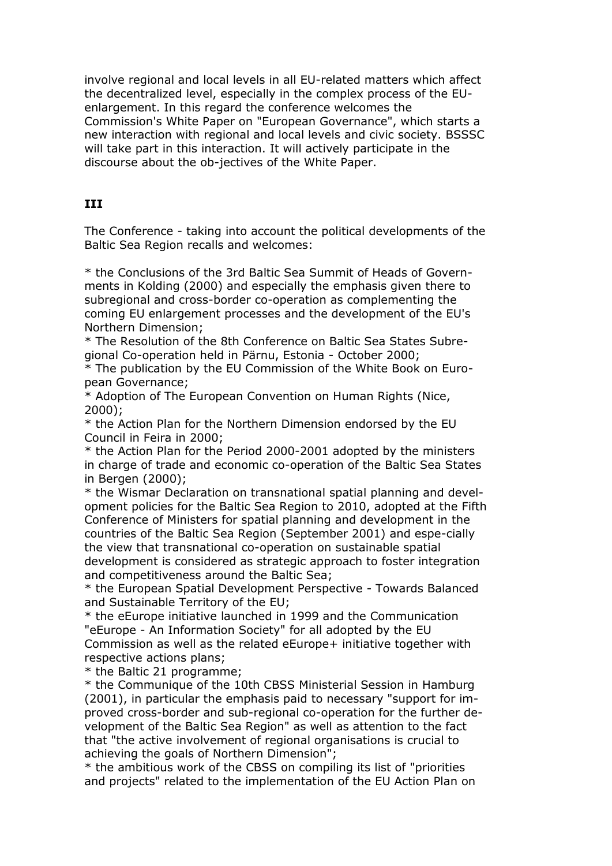involve regional and local levels in all EU-related matters which affect the decentralized level, especially in the complex process of the EUenlargement. In this regard the conference welcomes the Commission's White Paper on "European Governance", which starts a new interaction with regional and local levels and civic society. BSSSC will take part in this interaction. It will actively participate in the discourse about the ob-jectives of the White Paper.

#### **III**

The Conference - taking into account the political developments of the Baltic Sea Region recalls and welcomes:

\* the Conclusions of the 3rd Baltic Sea Summit of Heads of Governments in Kolding (2000) and especially the emphasis given there to subregional and cross-border co-operation as complementing the coming EU enlargement processes and the development of the EU's Northern Dimension;

\* The Resolution of the 8th Conference on Baltic Sea States Subregional Co-operation held in Pärnu, Estonia - October 2000;

\* The publication by the EU Commission of the White Book on European Governance;

\* Adoption of The European Convention on Human Rights (Nice, 2000);

\* the Action Plan for the Northern Dimension endorsed by the EU Council in Feira in 2000;

\* the Action Plan for the Period 2000-2001 adopted by the ministers in charge of trade and economic co-operation of the Baltic Sea States in Bergen (2000);

\* the Wismar Declaration on transnational spatial planning and development policies for the Baltic Sea Region to 2010, adopted at the Fifth Conference of Ministers for spatial planning and development in the countries of the Baltic Sea Region (September 2001) and espe-cially the view that transnational co-operation on sustainable spatial development is considered as strategic approach to foster integration and competitiveness around the Baltic Sea;

\* the European Spatial Development Perspective - Towards Balanced and Sustainable Territory of the EU;

\* the eEurope initiative launched in 1999 and the Communication "eEurope - An Information Society" for all adopted by the EU Commission as well as the related eEurope+ initiative together with respective actions plans;

\* the Baltic 21 programme;

\* the Communique of the 10th CBSS Ministerial Session in Hamburg (2001), in particular the emphasis paid to necessary "support for improved cross-border and sub-regional co-operation for the further development of the Baltic Sea Region" as well as attention to the fact that "the active involvement of regional organisations is crucial to achieving the goals of Northern Dimension";

\* the ambitious work of the CBSS on compiling its list of "priorities and projects" related to the implementation of the EU Action Plan on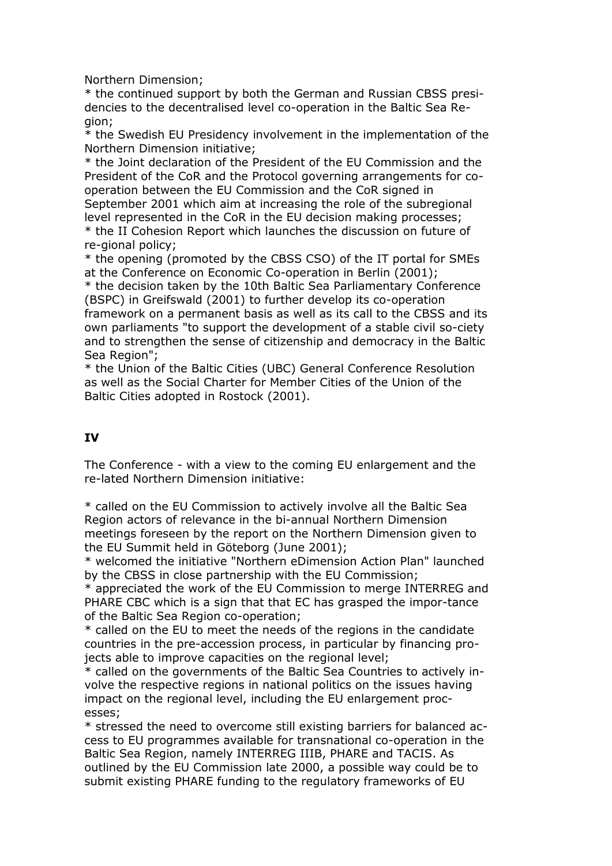Northern Dimension;

\* the continued support by both the German and Russian CBSS presidencies to the decentralised level co-operation in the Baltic Sea Region;

\* the Swedish EU Presidency involvement in the implementation of the Northern Dimension initiative;

\* the Joint declaration of the President of the EU Commission and the President of the CoR and the Protocol governing arrangements for cooperation between the EU Commission and the CoR signed in September 2001 which aim at increasing the role of the subregional level represented in the CoR in the EU decision making processes; \* the II Cohesion Report which launches the discussion on future of re-gional policy;

\* the opening (promoted by the CBSS CSO) of the IT portal for SMEs at the Conference on Economic Co-operation in Berlin (2001); \* the decision taken by the 10th Baltic Sea Parliamentary Conference (BSPC) in Greifswald (2001) to further develop its co-operation framework on a permanent basis as well as its call to the CBSS and its own parliaments "to support the development of a stable civil so-ciety and to strengthen the sense of citizenship and democracy in the Baltic Sea Region":

\* the Union of the Baltic Cities (UBC) General Conference Resolution as well as the Social Charter for Member Cities of the Union of the Baltic Cities adopted in Rostock (2001).

#### **IV**

The Conference - with a view to the coming EU enlargement and the re-lated Northern Dimension initiative:

\* called on the EU Commission to actively involve all the Baltic Sea Region actors of relevance in the bi-annual Northern Dimension meetings foreseen by the report on the Northern Dimension given to the EU Summit held in Göteborg (June 2001);

\* welcomed the initiative "Northern eDimension Action Plan" launched by the CBSS in close partnership with the EU Commission;

\* appreciated the work of the EU Commission to merge INTERREG and PHARE CBC which is a sign that that EC has grasped the impor-tance of the Baltic Sea Region co-operation;

\* called on the EU to meet the needs of the regions in the candidate countries in the pre-accession process, in particular by financing projects able to improve capacities on the regional level;

\* called on the governments of the Baltic Sea Countries to actively involve the respective regions in national politics on the issues having impact on the regional level, including the EU enlargement processes;

\* stressed the need to overcome still existing barriers for balanced access to EU programmes available for transnational co-operation in the Baltic Sea Region, namely INTERREG IIIB, PHARE and TACIS. As outlined by the EU Commission late 2000, a possible way could be to submit existing PHARE funding to the regulatory frameworks of EU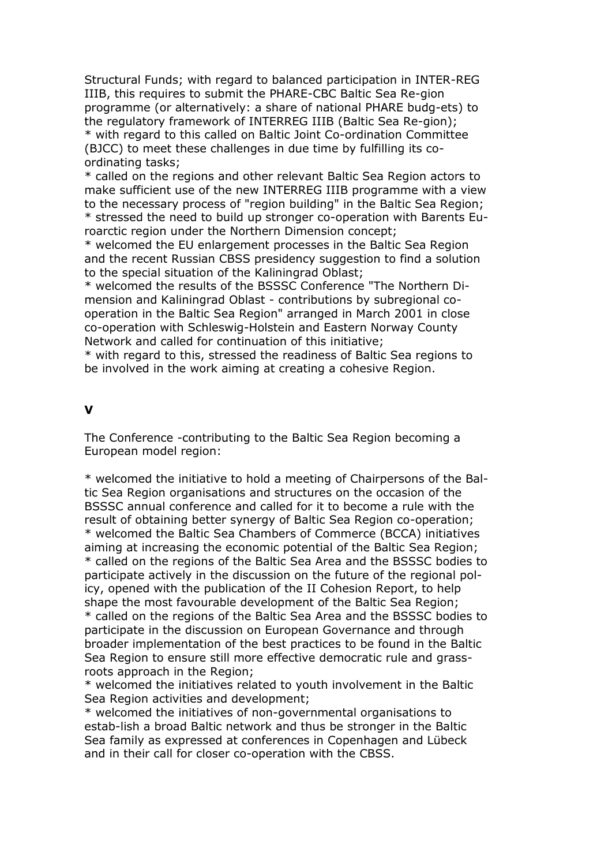Structural Funds; with regard to balanced participation in INTER-REG IIIB, this requires to submit the PHARE-CBC Baltic Sea Re-gion programme (or alternatively: a share of national PHARE budg-ets) to the regulatory framework of INTERREG IIIB (Baltic Sea Re-gion); \* with regard to this called on Baltic Joint Co-ordination Committee (BJCC) to meet these challenges in due time by fulfilling its coordinating tasks;

\* called on the regions and other relevant Baltic Sea Region actors to make sufficient use of the new INTERREG IIIB programme with a view to the necessary process of "region building" in the Baltic Sea Region; \* stressed the need to build up stronger co-operation with Barents Euroarctic region under the Northern Dimension concept;

\* welcomed the EU enlargement processes in the Baltic Sea Region and the recent Russian CBSS presidency suggestion to find a solution to the special situation of the Kaliningrad Oblast;

\* welcomed the results of the BSSSC Conference "The Northern Dimension and Kaliningrad Oblast - contributions by subregional cooperation in the Baltic Sea Region" arranged in March 2001 in close co-operation with Schleswig-Holstein and Eastern Norway County Network and called for continuation of this initiative;

\* with regard to this, stressed the readiness of Baltic Sea regions to be involved in the work aiming at creating a cohesive Region.

#### **V**

The Conference -contributing to the Baltic Sea Region becoming a European model region:

\* welcomed the initiative to hold a meeting of Chairpersons of the Baltic Sea Region organisations and structures on the occasion of the BSSSC annual conference and called for it to become a rule with the result of obtaining better synergy of Baltic Sea Region co-operation; \* welcomed the Baltic Sea Chambers of Commerce (BCCA) initiatives aiming at increasing the economic potential of the Baltic Sea Region; \* called on the regions of the Baltic Sea Area and the BSSSC bodies to participate actively in the discussion on the future of the regional policy, opened with the publication of the II Cohesion Report, to help shape the most favourable development of the Baltic Sea Region; \* called on the regions of the Baltic Sea Area and the BSSSC bodies to participate in the discussion on European Governance and through broader implementation of the best practices to be found in the Baltic Sea Region to ensure still more effective democratic rule and grassroots approach in the Region;

\* welcomed the initiatives related to youth involvement in the Baltic Sea Region activities and development;

\* welcomed the initiatives of non-governmental organisations to estab-lish a broad Baltic network and thus be stronger in the Baltic Sea family as expressed at conferences in Copenhagen and Lübeck and in their call for closer co-operation with the CBSS.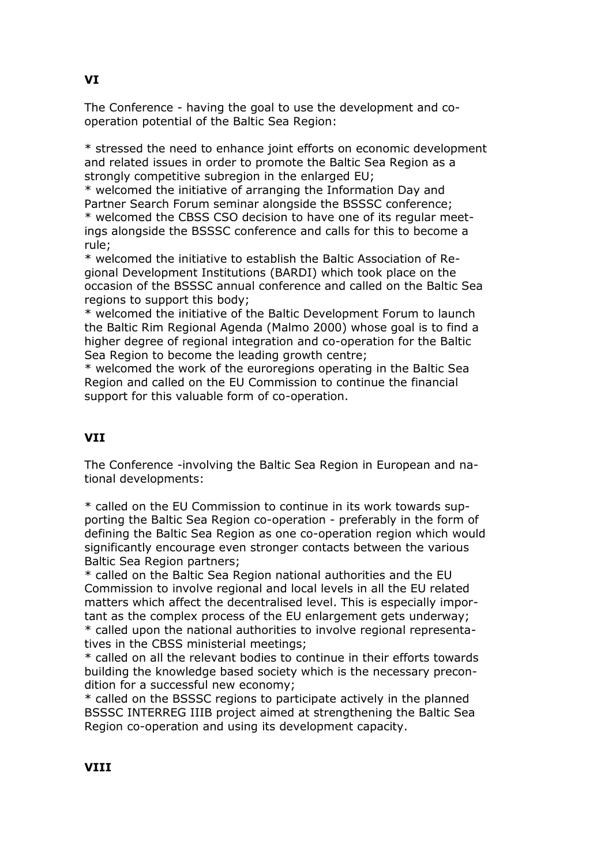The Conference - having the goal to use the development and cooperation potential of the Baltic Sea Region:

\* stressed the need to enhance joint efforts on economic development and related issues in order to promote the Baltic Sea Region as a strongly competitive subregion in the enlarged EU;

\* welcomed the initiative of arranging the Information Day and Partner Search Forum seminar alongside the BSSSC conference; \* welcomed the CBSS CSO decision to have one of its regular meetings alongside the BSSSC conference and calls for this to become a rule;

\* welcomed the initiative to establish the Baltic Association of Regional Development Institutions (BARDI) which took place on the occasion of the BSSSC annual conference and called on the Baltic Sea regions to support this body;

\* welcomed the initiative of the Baltic Development Forum to launch the Baltic Rim Regional Agenda (Malmo 2000) whose goal is to find a higher degree of regional integration and co-operation for the Baltic Sea Region to become the leading growth centre;

\* welcomed the work of the euroregions operating in the Baltic Sea Region and called on the EU Commission to continue the financial support for this valuable form of co-operation.

# **VII**

The Conference -involving the Baltic Sea Region in European and national developments:

\* called on the EU Commission to continue in its work towards supporting the Baltic Sea Region co-operation - preferably in the form of defining the Baltic Sea Region as one co-operation region which would significantly encourage even stronger contacts between the various Baltic Sea Region partners;

\* called on the Baltic Sea Region national authorities and the EU Commission to involve regional and local levels in all the EU related matters which affect the decentralised level. This is especially important as the complex process of the EU enlargement gets underway; \* called upon the national authorities to involve regional representatives in the CBSS ministerial meetings;

\* called on all the relevant bodies to continue in their efforts towards building the knowledge based society which is the necessary precondition for a successful new economy;

\* called on the BSSSC regions to participate actively in the planned BSSSC INTERREG IIIB project aimed at strengthening the Baltic Sea Region co-operation and using its development capacity.

# **VI**